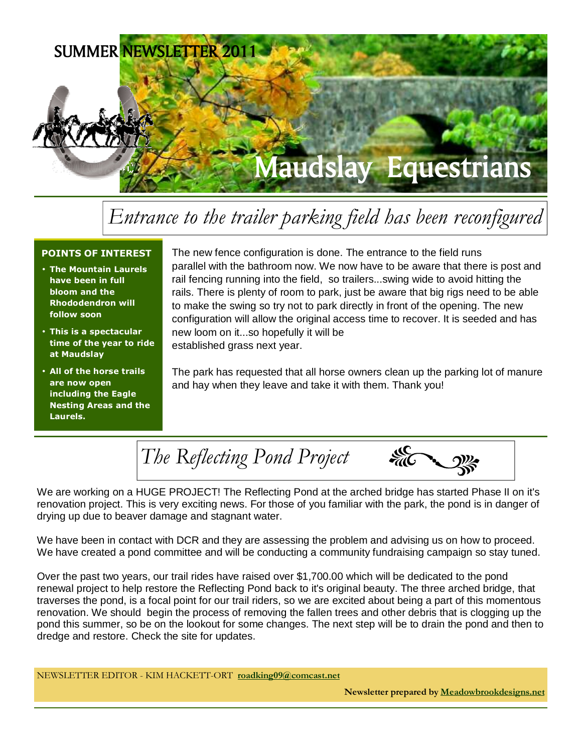

# Entrance to the trailer parking field has been reconfigured

#### POINTS OF INTEREST

- The Mountain Laurels have been in full bloom and the Rhododendron will follow soon
- This is a spectacular time of the year to ride at Maudslay
- All of the horse trails are now open including the Eagle Nesting Areas and the Laurels.

The new fence configuration is done. The entrance to the field runs parallel with the bathroom now. We now have to be aware that there is post and rail fencing running into the field, so trailers...swing wide to avoid hitting the rails. There is plenty of room to park, just be aware that big rigs need to be able to make the swing so try not to park directly in front of the opening. The new configuration will allow the original access time to recover. It is seeded and has new loom on it...so hopefully it will be established grass next year.

The park has requested that all horse owners clean up the parking lot of manure and hay when they leave and take it with them. Thank you!

**sic**<br>MC The Reflecting Pond Project

We are working on a HUGE PROJECT! The Reflecting Pond at the arched bridge has started Phase II on it's renovation project. This is very exciting news. For those of you familiar with the park, the pond is in danger of drying up due to beaver damage and stagnant water.

We have been in contact with DCR and they are assessing the problem and advising us on how to proceed. We have created a pond committee and will be conducting a community fundraising campaign so stay tuned.

Over the past two years, our trail rides have raised over \$1,700.00 which will be dedicated to the pond renewal project to help restore the Reflecting Pond back to it's original beauty. The three arched bridge, that traverses the pond, is a focal point for our trail riders, so we are excited about being a part of this momentous renovation. We should begin the process of removing the fallen trees and other debris that is clogging up the pond this summer, so be on the lookout for some changes. The next step will be to drain the pond and then to dredge and restore. Check the site for updates.

NEWSLETTER EDITOR - KIM HACKETT-ORT roadking09@comcast.net

Newsletter prepared by Meadowbrookdesigns.net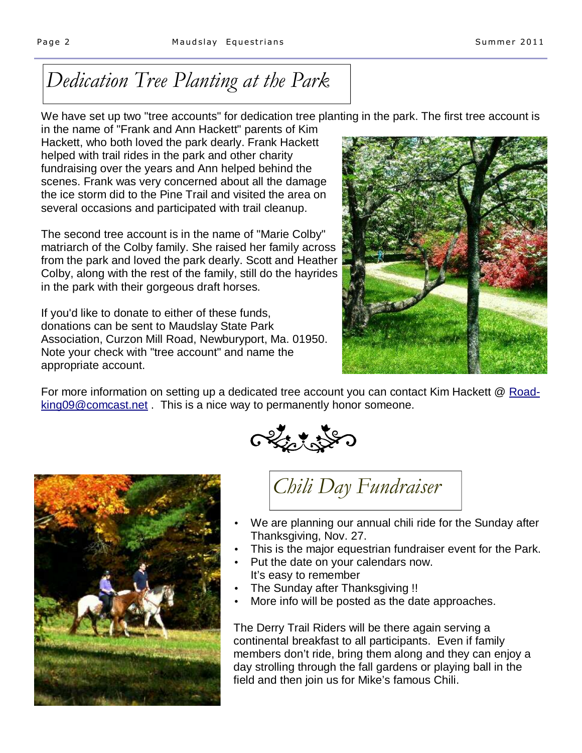# Dedication Tree Planting at the Park

We have set up two "tree accounts" for dedication tree planting in the park. The first tree account is

in the name of "Frank and Ann Hackett" parents of Kim Hackett, who both loved the park dearly. Frank Hackett helped with trail rides in the park and other charity fundraising over the years and Ann helped behind the scenes. Frank was very concerned about all the damage the ice storm did to the Pine Trail and visited the area on several occasions and participated with trail cleanup.

The second tree account is in the name of "Marie Colby" matriarch of the Colby family. She raised her family across from the park and loved the park dearly. Scott and Heather Colby, along with the rest of the family, still do the hayrides in the park with their gorgeous draft horses.

If you'd like to donate to either of these funds, donations can be sent to Maudslay State Park Association, Curzon Mill Road, Newburyport, Ma. 01950. Note your check with "tree account" and name the appropriate account.



For more information on setting up a dedicated tree account you can contact Kim Hackett @ Roadking09@comcast.net . This is a nice way to permanently honor someone.





Chili Day Fundraiser

- We are planning our annual chili ride for the Sunday after Thanksgiving, Nov. 27.
- This is the major equestrian fundraiser event for the Park.
- Put the date on your calendars now. It's easy to remember
- The Sunday after Thanksgiving !!
- More info will be posted as the date approaches.

The Derry Trail Riders will be there again serving a continental breakfast to all participants. Even if family members don't ride, bring them along and they can enjoy a day strolling through the fall gardens or playing ball in the field and then join us for Mike's famous Chili.